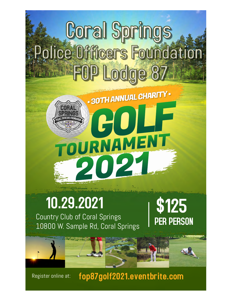# **Coral Springs Police Officers Foundation FOP Lodge 87**

. 30TH ANNUAL CHARITY.

\$125

PER PERSON

RNAME

## 10.29.2021

Country Club of Coral Springs 10800 W. Sample Rd, Coral Springs

[fop87golf2021.eventbrite.com](https://fop87golf2021.eventbrite.com) Register online at: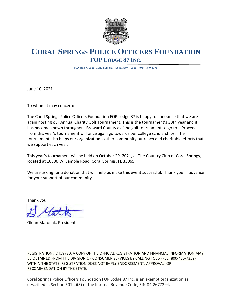

### **CORAL SPRINGS POLICE OFFICERS FOUNDATION FOP LODGE 87 INC.**

P.O. Box 770626, Coral Springs, Florida 33077-0626 (954) 340-6375

June 10, 2021

To whom it may concern:

The Coral Springs Police Officers Foundation FOP Lodge 87 is happy to announce that we are again hosting our Annual Charity Golf Tournament. This is the tournament's 30th year and it has become known throughout Broward County as "the golf tournament to go to!" Proceeds from this year's tournament will once again go towards our college scholarships. The tournament also helps our organization's other community outreach and charitable efforts that we support each year.

This year's tournament will be held on October 29, 2021, at The Country Club of Coral Springs, located at 10800 W. Sample Road, Coral Springs, FL 33065.

We are asking for a donation that will help us make this event successful. Thank you in advance for your support of our community.

Thank you,

Glenn Matonak, President

REGISTRATION# CH59780. A COPY OF THE OFFICIAL REGISTRATION AND FINANCIAL INFORMATION MAY BE OBTAINED FROM THE DIVISION OF CONSUMER SERVICES BY CALLING TOLL-FREE (800-435-7352) WITHIN THE STATE. REGISTRATION DOES NOT IMPLY ENDORSEMENT, APPROVAL, OR RECOMMENDATION BY THE STATE.

Coral Springs Police Officers Foundation FOP Lodge 87 Inc. is an exempt organization as described in Section 501(c)(3) of the Internal Revenue Code; EIN 84-2677294.